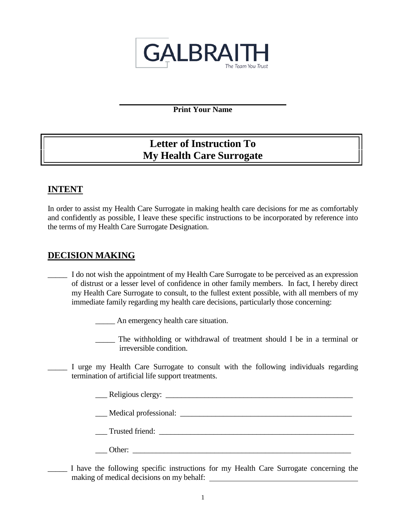

**Print Your Name**

# **Letter of Instruction To My Health Care Surrogate**

## **INTENT**

In order to assist my Health Care Surrogate in making health care decisions for me as comfortably and confidently as possible, I leave these specific instructions to be incorporated by reference into the terms of my Health Care Surrogate Designation.

## **DECISION MAKING**

I do not wish the appointment of my Health Care Surrogate to be perceived as an expression of distrust or a lesser level of confidence in other family members. In fact, I hereby direct my Health Care Surrogate to consult, to the fullest extent possible, with all members of my immediate family regarding my health care decisions, particularly those concerning:

\_\_\_\_\_ An emergency health care situation.

- \_\_\_\_\_ The withholding or withdrawal of treatment should I be in a terminal or irreversible condition.
- I urge my Health Care Surrogate to consult with the following individuals regarding termination of artificial life support treatments.

\_\_\_ Religious clergy: \_\_\_\_\_\_\_\_\_\_\_\_\_\_\_\_\_\_\_\_\_\_\_\_\_\_\_\_\_\_\_\_\_\_\_\_\_\_\_\_\_\_\_\_\_\_\_\_

\_\_\_ Medical professional: \_\_\_\_\_\_\_\_\_\_\_\_\_\_\_\_\_\_\_\_\_\_\_\_\_\_\_\_\_\_\_\_\_\_\_\_\_\_\_\_\_\_\_\_

Trusted friend:

- \_\_\_ Other: \_\_\_\_\_\_\_\_\_\_\_\_\_\_\_\_\_\_\_\_\_\_\_\_\_\_\_\_\_\_\_\_\_\_\_\_\_\_\_\_\_\_\_\_\_\_\_\_\_\_\_\_\_\_\_\_
- I have the following specific instructions for my Health Care Surrogate concerning the making of medical decisions on my behalf: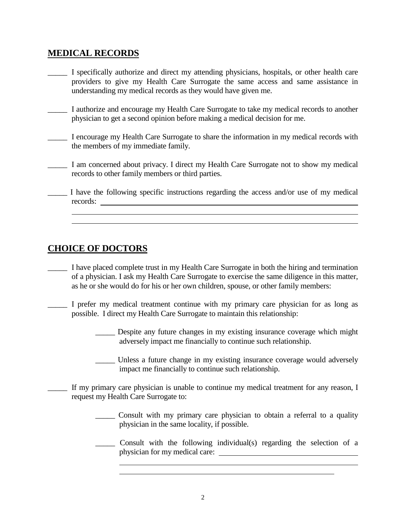## **MEDICAL RECORDS**

- \_\_\_\_\_ I specifically authorize and direct my attending physicians, hospitals, or other health care providers to give my Health Care Surrogate the same access and same assistance in understanding my medical records as they would have given me.
- I authorize and encourage my Health Care Surrogate to take my medical records to another physician to get a second opinion before making a medical decision for me.
- \_\_\_\_\_ I encourage my Health Care Surrogate to share the information in my medical records with the members of my immediate family.
- \_\_\_\_\_ I am concerned about privacy. I direct my Health Care Surrogate not to show my medical records to other family members or third parties.
- \_\_\_\_\_ I have the following specific instructions regarding the access and/or use of my medical records:

## **CHOICE OF DOCTORS**

- \_\_\_\_\_ I have placed complete trust in my Health Care Surrogate in both the hiring and termination of a physician. I ask my Health Care Surrogate to exercise the same diligence in this matter, as he or she would do for his or her own children, spouse, or other family members:
- \_\_\_\_\_ I prefer my medical treatment continue with my primary care physician for as long as possible. I direct my Health Care Surrogate to maintain this relationship:
	- \_\_\_\_\_ Despite any future changes in my existing insurance coverage which might adversely impact me financially to continue such relationship.
	- \_\_\_\_\_ Unless a future change in my existing insurance coverage would adversely impact me financially to continue such relationship.
- If my primary care physician is unable to continue my medical treatment for any reason, I request my Health Care Surrogate to:
	- \_\_\_\_\_ Consult with my primary care physician to obtain a referral to a quality physician in the same locality, if possible.
	- \_\_\_\_\_ Consult with the following individual(s) regarding the selection of a physician for my medical care: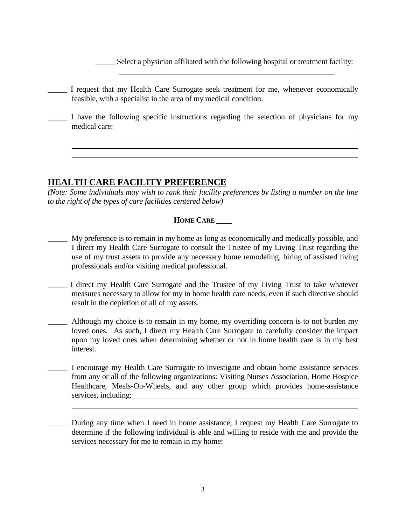Select a physician affiliated with the following hospital or treatment facility:

\_\_\_\_\_ I request that my Health Care Surrogate seek treatment for me, whenever economically feasible, with a specialist in the area of my medical condition.

\_\_\_\_\_ I have the following specific instructions regarding the selection of physicians for my medical care:

### **HEALTH CARE FACILITY PREFERENCE**

*(Note: Some individuals may wish to rank their facility preferences by listing a number on the line to the right of the types of care facilities centered below)* 

#### **HOME CARE \_\_\_\_**

- My preference is to remain in my home as long as economically and medically possible, and I direct my Health Care Surrogate to consult the Trustee of my Living Trust regarding the use of my trust assets to provide any necessary home remodeling, hiring of assisted living professionals and/or visiting medical professional.
- I direct my Health Care Surrogate and the Trustee of my Living Trust to take whatever measures necessary to allow for my in home health care needs, even if such directive should result in the depletion of all of my assets.
- Although my choice is to remain in my home, my overriding concern is to not burden my loved ones. As such, I direct my Health Care Surrogate to carefully consider the impact upon my loved ones when determining whether or not in home health care is in my best interest.
- \_\_\_\_\_ I encourage my Health Care Surrogate to investigate and obtain home assistance services from any or all of the following organizations: Visiting Nurses Association, Home Hospice Healthcare, Meals-On-Wheels, and any other group which provides home-assistance services, including:

During any time when I need in home assistance, I request my Health Care Surrogate to determine if the following individual is able and willing to reside with me and provide the services necessary for me to remain in my home: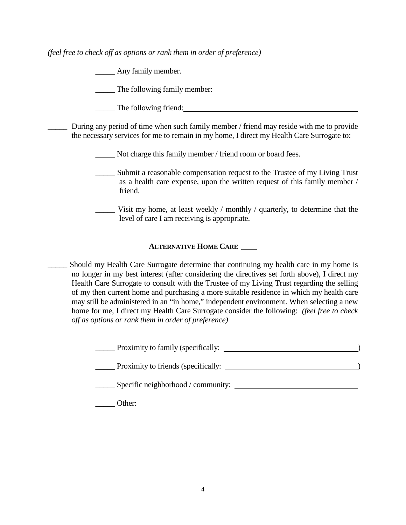*(feel free to check off as options or rank them in order of preference)*

Any family member.

The following family member:

The following friend:

During any period of time when such family member / friend may reside with me to provide the necessary services for me to remain in my home, I direct my Health Care Surrogate to:

Not charge this family member / friend room or board fees.

- Submit a reasonable compensation request to the Trustee of my Living Trust as a health care expense, upon the written request of this family member / friend.
- \_\_\_\_\_ Visit my home, at least weekly / monthly / quarterly, to determine that the level of care I am receiving is appropriate.

#### **ALTERNATIVE HOME CARE \_\_\_\_**

Should my Health Care Surrogate determine that continuing my health care in my home is no longer in my best interest (after considering the directives set forth above), I direct my Health Care Surrogate to consult with the Trustee of my Living Trust regarding the selling of my then current home and purchasing a more suitable residence in which my health care may still be administered in an "in home," independent environment. When selecting a new home for me, I direct my Health Care Surrogate consider the following: *(feel free to check off as options or rank them in order of preference)*

| Proximity to family (specifically:                   |  |
|------------------------------------------------------|--|
| <b>Example 1</b> Proximity to friends (specifically: |  |
| $\equiv$ Specific neighborhood / community:          |  |
| Other:                                               |  |
|                                                      |  |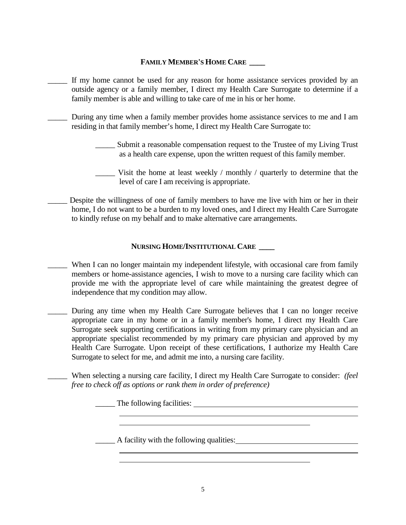#### **FAMILY MEMBER'S HOME CARE \_\_\_\_**

- If my home cannot be used for any reason for home assistance services provided by an outside agency or a family member, I direct my Health Care Surrogate to determine if a family member is able and willing to take care of me in his or her home.
	- During any time when a family member provides home assistance services to me and I am residing in that family member's home, I direct my Health Care Surrogate to:
		- \_\_\_\_\_ Submit a reasonable compensation request to the Trustee of my Living Trust as a health care expense, upon the written request of this family member.
		- Visit the home at least weekly / monthly / quarterly to determine that the level of care I am receiving is appropriate.
- Despite the willingness of one of family members to have me live with him or her in their home, I do not want to be a burden to my loved ones, and I direct my Health Care Surrogate to kindly refuse on my behalf and to make alternative care arrangements.

#### **NURSING HOME/INSTITUTIONAL CARE \_\_\_\_**

- When I can no longer maintain my independent lifestyle, with occasional care from family members or home-assistance agencies, I wish to move to a nursing care facility which can provide me with the appropriate level of care while maintaining the greatest degree of independence that my condition may allow.
- During any time when my Health Care Surrogate believes that I can no longer receive appropriate care in my home or in a family member's home, I direct my Health Care Surrogate seek supporting certifications in writing from my primary care physician and an appropriate specialist recommended by my primary care physician and approved by my Health Care Surrogate. Upon receipt of these certifications, I authorize my Health Care Surrogate to select for me, and admit me into, a nursing care facility.
- \_\_\_\_\_ When selecting a nursing care facility, I direct my Health Care Surrogate to consider: *(feel free to check off as options or rank them in order of preference)*

\_\_\_\_\_ The following facilities:

\_\_\_\_\_ A facility with the following qualities: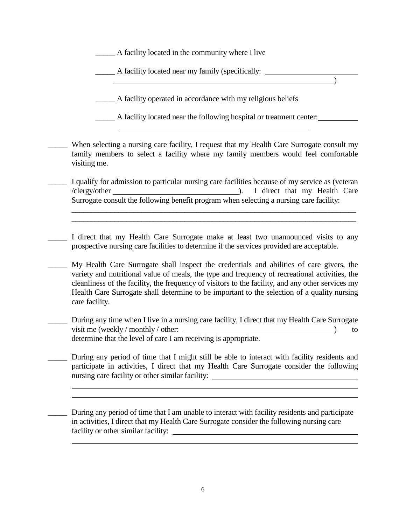\_\_\_\_\_ A facility located in the community where I live

\_\_\_\_\_ A facility located near my family (specifically:

\_\_\_\_\_ A facility operated in accordance with my religious beliefs

\_\_\_\_\_ A facility located near the following hospital or treatment center:

)

When selecting a nursing care facility, I request that my Health Care Surrogate consult my family members to select a facility where my family members would feel comfortable visiting me.

I qualify for admission to particular nursing care facilities because of my service as (veteran /clergy/other ). I direct that my Health Care Surrogate consult the following benefit program when selecting a nursing care facility:

 $\_$  , and the set of the set of the set of the set of the set of the set of the set of the set of the set of the set of the set of the set of the set of the set of the set of the set of the set of the set of the set of th  $\_$  , and the set of the set of the set of the set of the set of the set of the set of the set of the set of the set of the set of the set of the set of the set of the set of the set of the set of the set of the set of th

I direct that my Health Care Surrogate make at least two unannounced visits to any prospective nursing care facilities to determine if the services provided are acceptable.

\_\_\_\_\_ My Health Care Surrogate shall inspect the credentials and abilities of care givers, the variety and nutritional value of meals, the type and frequency of recreational activities, the cleanliness of the facility, the frequency of visitors to the facility, and any other services my Health Care Surrogate shall determine to be important to the selection of a quality nursing care facility.

During any time when I live in a nursing care facility, I direct that my Health Care Surrogate visit me (weekly / monthly / other: ) to determine that the level of care I am receiving is appropriate.

During any period of time that I might still be able to interact with facility residents and participate in activities, I direct that my Health Care Surrogate consider the following nursing care facility or other similar facility:

During any period of time that I am unable to interact with facility residents and participate in activities, I direct that my Health Care Surrogate consider the following nursing care facility or other similar facility: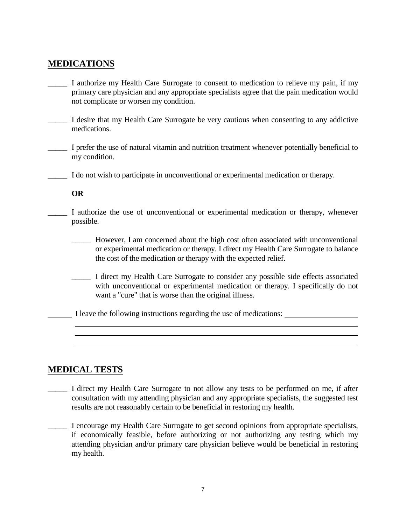## **MEDICATIONS**

- \_\_\_\_\_ I authorize my Health Care Surrogate to consent to medication to relieve my pain, if my primary care physician and any appropriate specialists agree that the pain medication would not complicate or worsen my condition.
- \_\_\_\_\_ I desire that my Health Care Surrogate be very cautious when consenting to any addictive medications.
- \_\_\_\_\_ I prefer the use of natural vitamin and nutrition treatment whenever potentially beneficial to my condition.
- \_\_\_\_\_ I do not wish to participate in unconventional or experimental medication or therapy.

**OR**

- I authorize the use of unconventional or experimental medication or therapy, whenever possible.
	- \_\_\_\_\_ However, I am concerned about the high cost often associated with unconventional or experimental medication or therapy. I direct my Health Care Surrogate to balance the cost of the medication or therapy with the expected relief.
	- \_\_\_\_\_ I direct my Health Care Surrogate to consider any possible side effects associated with unconventional or experimental medication or therapy. I specifically do not want a "cure" that is worse than the original illness.
	- I leave the following instructions regarding the use of medications:

### **MEDICAL TESTS**

- \_\_\_\_\_ I direct my Health Care Surrogate to not allow any tests to be performed on me, if after consultation with my attending physician and any appropriate specialists, the suggested test results are not reasonably certain to be beneficial in restoring my health.
- \_\_\_\_\_ I encourage my Health Care Surrogate to get second opinions from appropriate specialists, if economically feasible, before authorizing or not authorizing any testing which my attending physician and/or primary care physician believe would be beneficial in restoring my health.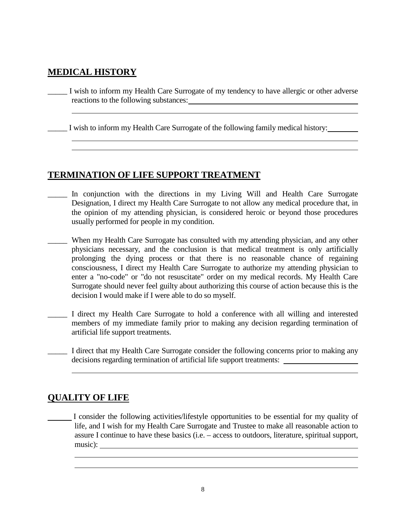## **MEDICAL HISTORY**

\_\_\_\_\_ I wish to inform my Health Care Surrogate of my tendency to have allergic or other adverse reactions to the following substances: which are also also also substances of  $\sim$ 

I wish to inform my Health Care Surrogate of the following family medical history:

## **TERMINATION OF LIFE SUPPORT TREATMENT**

- In conjunction with the directions in my Living Will and Health Care Surrogate Designation, I direct my Health Care Surrogate to not allow any medical procedure that, in the opinion of my attending physician, is considered heroic or beyond those procedures usually performed for people in my condition.
- \_\_\_\_\_ When my Health Care Surrogate has consulted with my attending physician, and any other physicians necessary, and the conclusion is that medical treatment is only artificially prolonging the dying process or that there is no reasonable chance of regaining consciousness, I direct my Health Care Surrogate to authorize my attending physician to enter a "no-code" or "do not resuscitate" order on my medical records. My Health Care Surrogate should never feel guilty about authorizing this course of action because this is the decision I would make if I were able to do so myself.
- \_\_\_\_\_ I direct my Health Care Surrogate to hold a conference with all willing and interested members of my immediate family prior to making any decision regarding termination of artificial life support treatments.
- I direct that my Health Care Surrogate consider the following concerns prior to making any decisions regarding termination of artificial life support treatments:

## **QUALITY OF LIFE**

I consider the following activities/lifestyle opportunities to be essential for my quality of life, and I wish for my Health Care Surrogate and Trustee to make all reasonable action to assure I continue to have these basics (i.e. – access to outdoors, literature, spiritual support, music):